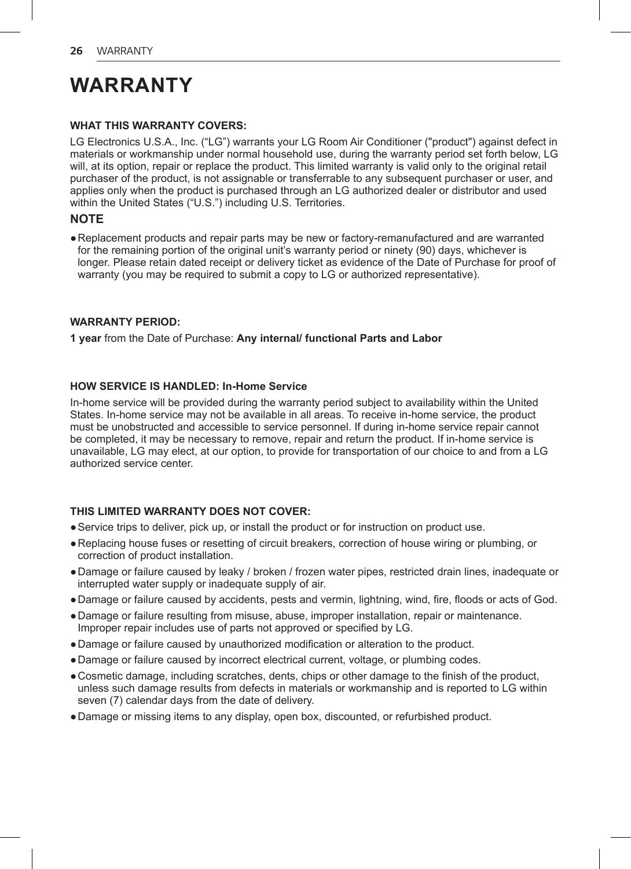# **WARRANTY**

#### **WHAT THIS WARRANTY COVERS:**

LG Electronics U.S.A., Inc. ("LG") warrants your LG Room Air Conditioner ("product") against defect in materials or workmanship under normal household use, during the warranty period set forth below, LG will, at its option, repair or replace the product. This limited warranty is valid only to the original retail purchaser of the product, is not assignable or transferrable to any subsequent purchaser or user, and applies only when the product is purchased through an LG authorized dealer or distributor and used within the United States ("U.S.") including U.S. Territories.

#### **NOTE**

●Replacement products and repair parts may be new or factory-remanufactured and are warranted for the remaining portion of the original unit's warranty period or ninety (90) days, whichever is longer. Please retain dated receipt or delivery ticket as evidence of the Date of Purchase for proof of warranty (you may be required to submit a copy to LG or authorized representative).

#### **WARRANTY PERIOD:**

**1 year** from the Date of Purchase: **Any internal/ functional Parts and Labor**

#### **HOW SERVICE IS HANDLED: In-Home Service**

In-home service will be provided during the warranty period subject to availability within the United States. In-home service may not be available in all areas. To receive in-home service, the product must be unobstructed and accessible to service personnel. If during in-home service repair cannot be completed, it may be necessary to remove, repair and return the product. If in-home service is unavailable, LG may elect, at our option, to provide for transportation of our choice to and from a LG authorized service center.

#### **THIS LIMITED WARRANTY DOES NOT COVER:**

- ●Service trips to deliver, pick up, or install the product or for instruction on product use.
- ●Replacing house fuses or resetting of circuit breakers, correction of house wiring or plumbing, or correction of product installation.
- ●Damage or failure caused by leaky / broken / frozen water pipes, restricted drain lines, inadequate or interrupted water supply or inadequate supply of air.
- ●Damage or failure caused by accidents, pests and vermin, lightning, wind, fire, floods or acts of God.
- ●Damage or failure resulting from misuse, abuse, improper installation, repair or maintenance. Improper repair includes use of parts not approved or specified by LG.
- ●Damage or failure caused by unauthorized modification or alteration to the product.
- ●Damage or failure caused by incorrect electrical current, voltage, or plumbing codes.
- ●Cosmetic damage, including scratches, dents, chips or other damage to the finish of the product, unless such damage results from defects in materials or workmanship and is reported to LG within seven (7) calendar days from the date of delivery.
- ●Damage or missing items to any display, open box, discounted, or refurbished product.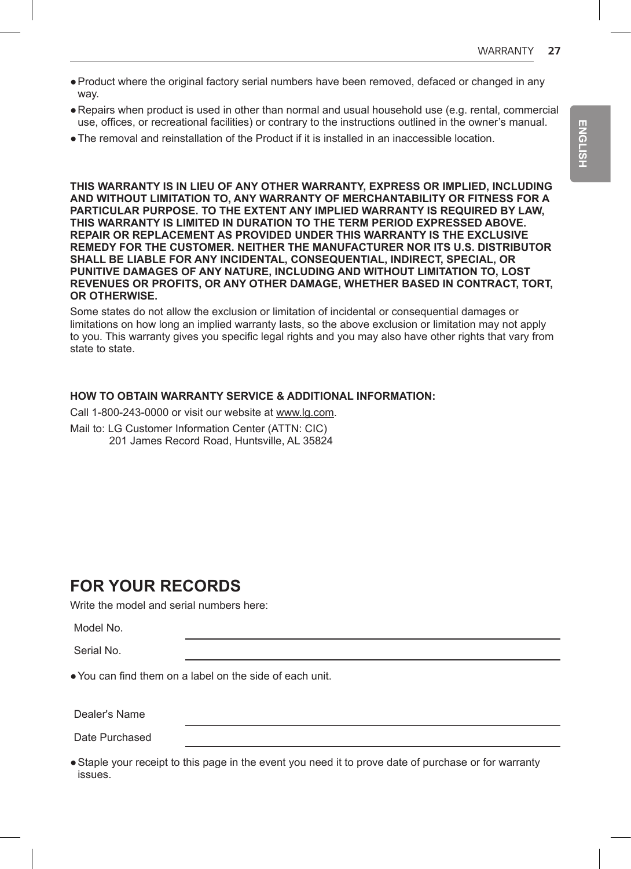- ●Product where the original factory serial numbers have been removed, defaced or changed in any way.
- ●Repairs when product is used in other than normal and usual household use (e.g. rental, commercial use, offices, or recreational facilities) or contrary to the instructions outlined in the owner's manual.
- ●The removal and reinstallation of the Product if it is installed in an inaccessible location.

**THIS WARRANTY IS IN LIEU OF ANY OTHER WARRANTY, EXPRESS OR IMPLIED, INCLUDING AND WITHOUT LIMITATION TO, ANY WARRANTY OF MERCHANTABILITY OR FITNESS FOR A PARTICULAR PURPOSE. TO THE EXTENT ANY IMPLIED WARRANTY IS REQUIRED BY LAW, THIS WARRANTY IS LIMITED IN DURATION TO THE TERM PERIOD EXPRESSED ABOVE. REPAIR OR REPLACEMENT AS PROVIDED UNDER THIS WARRANTY IS THE EXCLUSIVE REMEDY FOR THE CUSTOMER. NEITHER THE MANUFACTURER NOR ITS U.S. DISTRIBUTOR SHALL BE LIABLE FOR ANY INCIDENTAL, CONSEQUENTIAL, INDIRECT, SPECIAL, OR PUNITIVE DAMAGES OF ANY NATURE, INCLUDING AND WITHOUT LIMITATION TO, LOST REVENUES OR PROFITS, OR ANY OTHER DAMAGE, WHETHER BASED IN CONTRACT, TORT, OR OTHERWISE.**

Some states do not allow the exclusion or limitation of incidental or consequential damages or limitations on how long an implied warranty lasts, so the above exclusion or limitation may not apply to you. This warranty gives you specific legal rights and you may also have other rights that vary from state to state.

#### **HOW TO OBTAIN WARRANTY SERVICE & ADDITIONAL INFORMATION:**

Call 1-800-243-0000 or visit our website at www.lg.com.

Mail to: LG Customer Information Center (ATTN: CIC)

201 James Record Road, Huntsville, AL 35824

### **FOR YOUR RECORDS**

Write the model and serial numbers here:

Model No.

Serial No.

●You can find them on a label on the side of each unit.

Dealer's Name

Date Purchased

●Staple your receipt to this page in the event you need it to prove date of purchase or for warranty issues.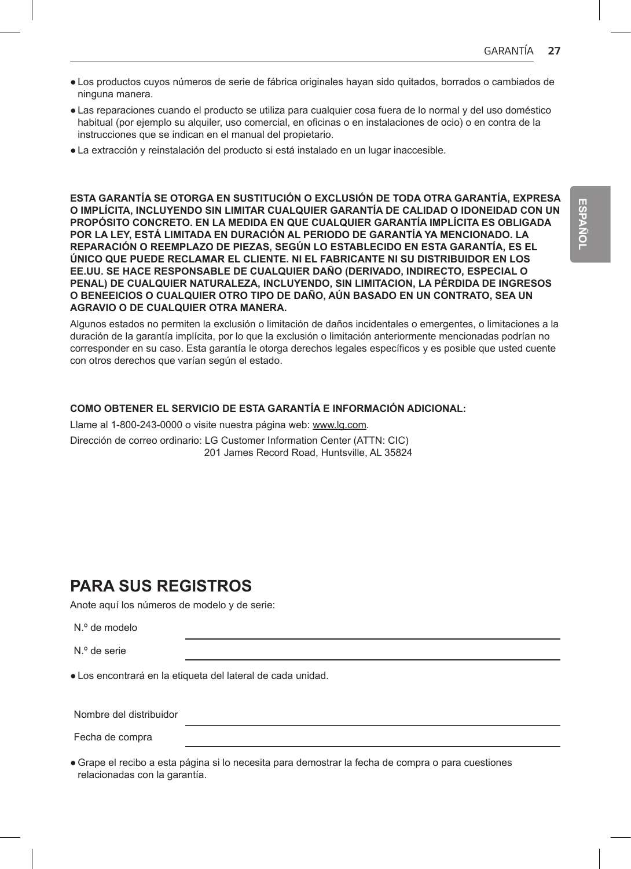- Los productos cuyos números de serie de fábrica originales hayan sido quitados, borrados o cambiados de ninguna manera.
- Las reparaciones cuando el producto se utiliza para cualquier cosa fuera de lo normal y del uso doméstico habitual (por ejemplo su alquiler, uso comercial, en oficinas o en instalaciones de ocio) o en contra de la instrucciones que se indican en el manual del propietario.
- La extracción y reinstalación del producto si está instalado en un lugar inaccesible.

**ESTA GARANTÍA SE OTORGA EN SUSTITUCIÓN O EXCLUSIÓN DE TODA OTRA GARANTÍA, EXPRESA O IMPLÍCITA, INCLUYENDO SIN LIMITAR CUALQUIER GARANTÍA DE CALIDAD O IDONEIDAD CON UN PROPÓSITO CONCRETO. EN LA MEDIDA EN QUE CUALQUIER GARANTÍA IMPLÍCITA ES OBLIGADA POR LA LEY, ESTÁ LIMITADA EN DURACIÓN AL PERIODO DE GARANTÍA YA MENCIONADO. LA REPARACIÓN O REEMPLAZO DE PIEZAS, SEGÚN LO ESTABLECIDO EN ESTA GARANTÍA, ES EL ÚNICO QUE PUEDE RECLAMAR EL CLIENTE. NI EL FABRICANTE NI SU DISTRIBUIDOR EN LOS EE.UU. SE HACE RESPONSABLE DE CUALQUIER DAÑO (DERIVADO, INDIRECTO, ESPECIAL O PENAL) DE CUALQUIER NATURALEZA, INCLUYENDO, SIN LIMITACION, LA PÉRDIDA DE INGRESOS O BENEEICIOS O CUALQUIER OTRO TIPO DE DAÑO, AÚN BASADO EN UN CONTRATO, SEA UN AGRAVIO O DE CUALQUIER OTRA MANERA.**

Algunos estados no permiten la exclusión o limitación de daños incidentales o emergentes, o limitaciones a la duración de la garantía implícita, por lo que la exclusión o limitación anteriormente mencionadas podrían no corresponder en su caso. Esta garantía le otorga derechos legales específicos y es posible que usted cuente con otros derechos que varían según el estado.

#### **COMO OBTENER EL SERVICIO DE ESTA GARANTÍA E INFORMACIÓN ADICIONAL:**

Llame al 1-800-243-0000 o visite nuestra página web: www.lg.com. Dirección de correo ordinario: LG Customer Information Center (ATTN: CIC) 201 James Record Road, Huntsville, AL 35824

## **PARA SUS REGISTROS**

Anote aquí los números de modelo y de serie:

|  |  | N.º de modelo |  |
|--|--|---------------|--|
|--|--|---------------|--|

N.º de serie

● Los encontrará en la etiqueta del lateral de cada unidad.

Nombre del distribuidor

Fecha de compra

● Grape el recibo a esta página si lo necesita para demostrar la fecha de compra o para cuestiones relacionadas con la garantía.